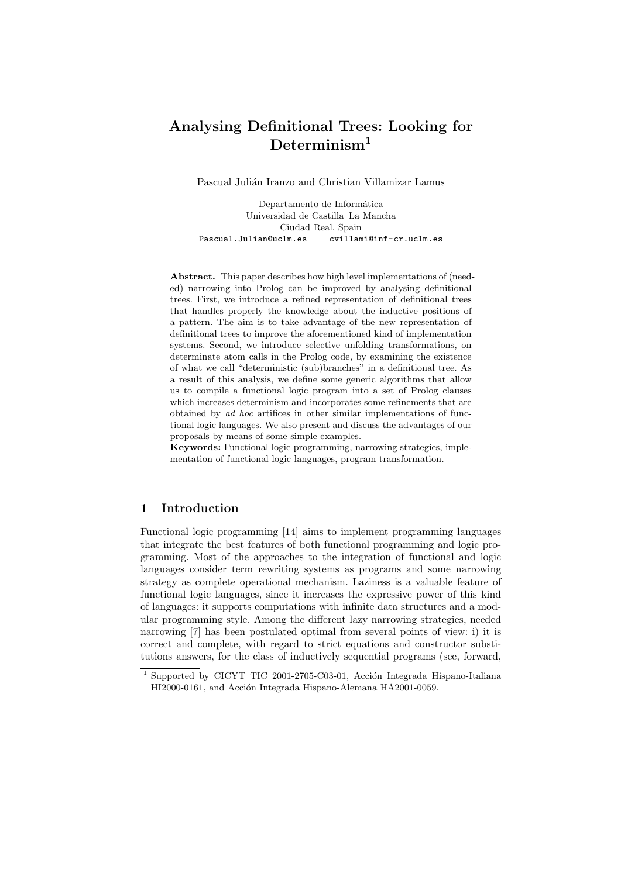# Analysing Definitional Trees: Looking for  $Determine$

Pascual Julián Iranzo and Christian Villamizar Lamus

Departamento de Informática Universidad de Castilla–La Mancha Ciudad Real, Spain Pascual.Julian@uclm.es cvillami@inf-cr.uclm.es

Abstract. This paper describes how high level implementations of (needed) narrowing into Prolog can be improved by analysing definitional trees. First, we introduce a refined representation of definitional trees that handles properly the knowledge about the inductive positions of a pattern. The aim is to take advantage of the new representation of definitional trees to improve the aforementioned kind of implementation systems. Second, we introduce selective unfolding transformations, on determinate atom calls in the Prolog code, by examining the existence of what we call "deterministic (sub)branches" in a definitional tree. As a result of this analysis, we define some generic algorithms that allow us to compile a functional logic program into a set of Prolog clauses which increases determinism and incorporates some refinements that are obtained by ad hoc artifices in other similar implementations of functional logic languages. We also present and discuss the advantages of our proposals by means of some simple examples.

Keywords: Functional logic programming, narrowing strategies, implementation of functional logic languages, program transformation.

### 1 Introduction

Functional logic programming [14] aims to implement programming languages that integrate the best features of both functional programming and logic programming. Most of the approaches to the integration of functional and logic languages consider term rewriting systems as programs and some narrowing strategy as complete operational mechanism. Laziness is a valuable feature of functional logic languages, since it increases the expressive power of this kind of languages: it supports computations with infinite data structures and a modular programming style. Among the different lazy narrowing strategies, needed narrowing [7] has been postulated optimal from several points of view: i) it is correct and complete, with regard to strict equations and constructor substitutions answers, for the class of inductively sequential programs (see, forward,

 $1$  Supported by CICYT TIC 2001-2705-C03-01, Acción Integrada Hispano-Italiana HI2000-0161, and Acción Integrada Hispano-Alemana HA2001-0059.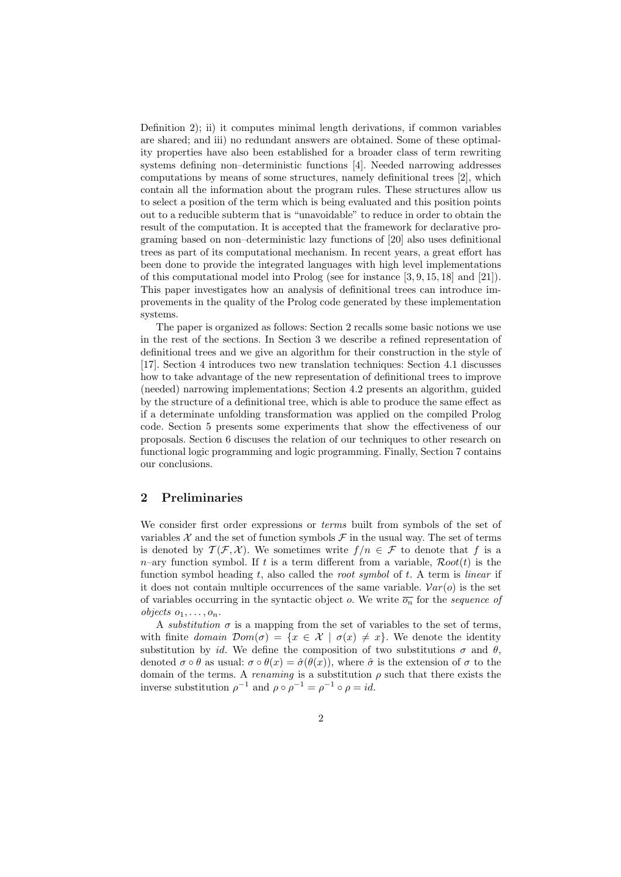Definition 2); ii) it computes minimal length derivations, if common variables are shared; and iii) no redundant answers are obtained. Some of these optimality properties have also been established for a broader class of term rewriting systems defining non–deterministic functions [4]. Needed narrowing addresses computations by means of some structures, namely definitional trees [2], which contain all the information about the program rules. These structures allow us to select a position of the term which is being evaluated and this position points out to a reducible subterm that is "unavoidable" to reduce in order to obtain the result of the computation. It is accepted that the framework for declarative programing based on non–deterministic lazy functions of [20] also uses definitional trees as part of its computational mechanism. In recent years, a great effort has been done to provide the integrated languages with high level implementations of this computational model into Prolog (see for instance [3, 9, 15, 18] and [21]). This paper investigates how an analysis of definitional trees can introduce improvements in the quality of the Prolog code generated by these implementation systems.

The paper is organized as follows: Section 2 recalls some basic notions we use in the rest of the sections. In Section 3 we describe a refined representation of definitional trees and we give an algorithm for their construction in the style of [17]. Section 4 introduces two new translation techniques: Section 4.1 discusses how to take advantage of the new representation of definitional trees to improve (needed) narrowing implementations; Section 4.2 presents an algorithm, guided by the structure of a definitional tree, which is able to produce the same effect as if a determinate unfolding transformation was applied on the compiled Prolog code. Section 5 presents some experiments that show the effectiveness of our proposals. Section 6 discuses the relation of our techniques to other research on functional logic programming and logic programming. Finally, Section 7 contains our conclusions.

## 2 Preliminaries

We consider first order expressions or *terms* built from symbols of the set of variables  $\mathcal X$  and the set of function symbols  $\mathcal F$  in the usual way. The set of terms is denoted by  $\mathcal{T}(\mathcal{F}, \mathcal{X})$ . We sometimes write  $f/n \in \mathcal{F}$  to denote that f is a  $n$ -ary function symbol. If t is a term different from a variable,  $Root(t)$  is the function symbol heading t, also called the root symbol of t. A term is linear if it does not contain multiple occurrences of the same variable.  $Var(o)$  is the set of variables occurring in the syntactic object o. We write  $\overline{o_n}$  for the sequence of objects  $o_1, \ldots, o_n$ .

A substitution  $\sigma$  is a mapping from the set of variables to the set of terms, with finite domain  $Dom(\sigma) = \{x \in \mathcal{X} \mid \sigma(x) \neq x\}$ . We denote the identity substitution by id. We define the composition of two substitutions  $\sigma$  and  $\theta$ , denoted  $\sigma \circ \theta$  as usual:  $\sigma \circ \theta(x) = \hat{\sigma}(\theta(x))$ , where  $\hat{\sigma}$  is the extension of  $\sigma$  to the domain of the terms. A *renaming* is a substitution  $\rho$  such that there exists the inverse substitution  $\rho^{-1}$  and  $\rho \circ \rho^{-1} = \rho^{-1} \circ \rho = id$ .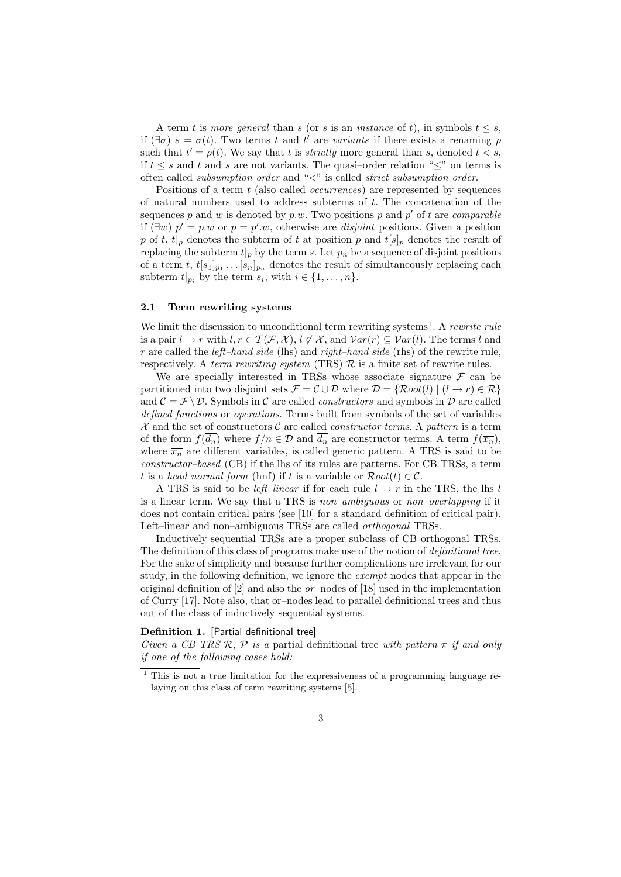A term t is more general than s (or s is an instance of t), in symbols  $t \leq s$ , if  $(\exists \sigma)$   $s = \sigma(t)$ . Two terms t and t' are variants if there exists a renaming  $\rho$ such that  $t' = \rho(t)$ . We say that t is *strictly* more general than s, denoted  $t < s$ , if  $t \leq s$  and t and s are not variants. The quasi-order relation " $\leq$ " on terms is often called *subsumption order* and " $\lt$ " is called *strict subsumption order*.

Positions of a term t (also called *occurrences*) are represented by sequences of natural numbers used to address subterms of t. The concatenation of the sequences p and w is denoted by p.w. Two positions p and p' of t are *comparable* if  $(\exists w)$   $p' = p.w$  or  $p = p'.w$ , otherwise are *disjoint* positions. Given a position p of t,  $t|_p$  denotes the subterm of t at position p and  $t[s]_p$  denotes the result of replacing the subterm  $t|_p$  by the term s. Let  $\overline{p_n}$  be a sequence of disjoint positions of a term t,  $t[s_1]_{p_1} \ldots [s_n]_{p_n}$  denotes the result of simultaneously replacing each subterm  $t|_{p_i}$  by the term  $s_i$ , with  $i \in \{1, \ldots, n\}$ .

#### 2.1 Term rewriting systems

We limit the discussion to unconditional term rewriting systems<sup>1</sup>. A rewrite rule is a pair  $l \to r$  with  $l, r \in \mathcal{T}(\mathcal{F}, \mathcal{X}), l \notin \mathcal{X}$ , and  $Var(r) \subseteq Var(l)$ . The terms l and r are called the *left–hand side* (lhs) and right–hand side (rhs) of the rewrite rule, respectively. A term rewriting system (TRS)  $\mathcal{R}$  is a finite set of rewrite rules.

We are specially interested in TRSs whose associate signature  $\mathcal F$  can be partitioned into two disjoint sets  $\mathcal{F} = \mathcal{C} \oplus \mathcal{D}$  where  $\mathcal{D} = \{Root(l) | (l \rightarrow r) \in \mathcal{R}\}\$ and  $\mathcal{C} = \mathcal{F} \setminus \mathcal{D}$ . Symbols in C are called *constructors* and symbols in D are called defined functions or operations. Terms built from symbols of the set of variables  $\mathcal X$  and the set of constructors  $\mathcal C$  are called *constructor terms*. A pattern is a term of the form  $f(\overline{d_n})$  where  $f/n \in \mathcal{D}$  and  $\overline{d_n}$  are constructor terms. A term  $f(\overline{x_n})$ , where  $\overline{x_n}$  are different variables, is called generic pattern. A TRS is said to be constructor–based (CB) if the lhs of its rules are patterns. For CB TRSs, a term t is a head normal form (hnf) if t is a variable or  $Root(t) \in C$ .

A TRS is said to be *left–linear* if for each rule  $l \rightarrow r$  in the TRS, the lhs l is a linear term. We say that a TRS is non–ambiguous or non–overlapping if it does not contain critical pairs (see [10] for a standard definition of critical pair). Left–linear and non–ambiguous TRSs are called orthogonal TRSs.

Inductively sequential TRSs are a proper subclass of CB orthogonal TRSs. The definition of this class of programs make use of the notion of definitional tree. For the sake of simplicity and because further complications are irrelevant for our study, in the following definition, we ignore the exempt nodes that appear in the original definition of  $[2]$  and also the *or*-nodes of  $[18]$  used in the implementation of Curry [17]. Note also, that or–nodes lead to parallel definitional trees and thus out of the class of inductively sequential systems.

### Definition 1. [Partial definitional tree]

Given a CB TRS R, P is a partial definitional tree with pattern  $\pi$  if and only if one of the following cases hold:

<sup>&</sup>lt;sup>1</sup> This is not a true limitation for the expressiveness of a programming language relaying on this class of term rewriting systems [5].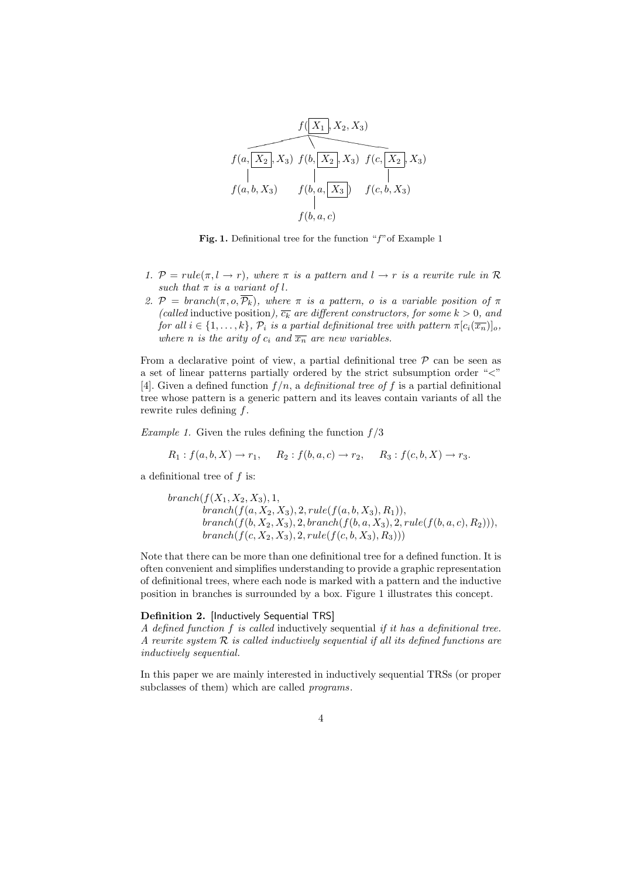

Fig. 1. Definitional tree for the function " $f$ " of Example 1

- 1.  $P = rule(\pi, l \rightarrow r)$ , where  $\pi$  is a pattern and  $l \rightarrow r$  is a rewrite rule in R such that  $\pi$  is a variant of l.
- 2.  $\mathcal{P} = branch(\pi, o, \overline{\mathcal{P}_k})$ , where  $\pi$  is a pattern, o is a variable position of  $\pi$ (called inductive position),  $\overline{c_k}$  are different constructors, for some  $k > 0$ , and for all  $i \in \{1, \ldots, k\}$ ,  $\mathcal{P}_i$  is a partial definitional tree with pattern  $\pi[c_i(\overline{x_n})]_o$ , where n is the arity of  $c_i$  and  $\overline{x_n}$  are new variables.

From a declarative point of view, a partial definitional tree  $P$  can be seen as a set of linear patterns partially ordered by the strict subsumption order "<" [4]. Given a defined function  $f/n$ , a *definitional tree of f* is a partial definitional tree whose pattern is a generic pattern and its leaves contain variants of all the rewrite rules defining  $f$ .

Example 1. Given the rules defining the function  $f/3$ 

$$
R_1: f(a, b, X) \to r_1
$$
,  $R_2: f(b, a, c) \to r_2$ ,  $R_3: f(c, b, X) \to r_3$ .

a definitional tree of f is:

$$
branch(f(X_1, X_2, X_3), 1, \\ branch(f(a, X_2, X_3), 2, rule(f(a, b, X_3), R_1)), \\ branch(f(b, X_2, X_3), 2, branch(f(b, a, X_3), 2, rule(f(b, a, c), R_2))), \\ branch(f(c, X_2, X_3), 2, rule(f(c, b, X_3), R_3)))
$$

Note that there can be more than one definitional tree for a defined function. It is often convenient and simplifies understanding to provide a graphic representation of definitional trees, where each node is marked with a pattern and the inductive position in branches is surrounded by a box. Figure 1 illustrates this concept.

#### Definition 2. [Inductively Sequential TRS]

A defined function f is called inductively sequential if it has a definitional tree. A rewrite system  $R$  is called inductively sequential if all its defined functions are inductively sequential.

In this paper we are mainly interested in inductively sequential TRSs (or proper subclasses of them) which are called *programs*.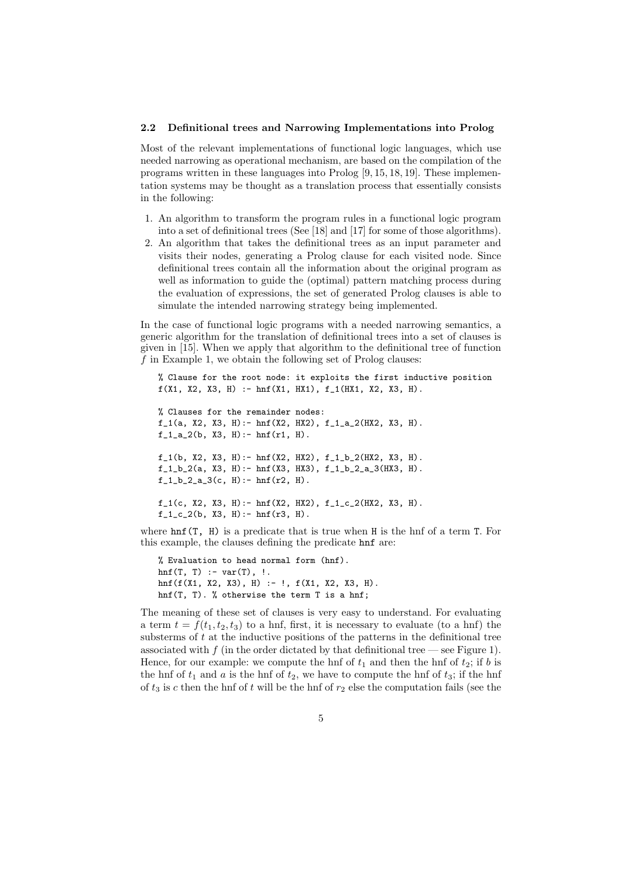#### 2.2 Definitional trees and Narrowing Implementations into Prolog

Most of the relevant implementations of functional logic languages, which use needed narrowing as operational mechanism, are based on the compilation of the programs written in these languages into Prolog [9, 15, 18, 19]. These implementation systems may be thought as a translation process that essentially consists in the following:

- 1. An algorithm to transform the program rules in a functional logic program into a set of definitional trees (See [18] and [17] for some of those algorithms).
- 2. An algorithm that takes the definitional trees as an input parameter and visits their nodes, generating a Prolog clause for each visited node. Since definitional trees contain all the information about the original program as well as information to guide the (optimal) pattern matching process during the evaluation of expressions, the set of generated Prolog clauses is able to simulate the intended narrowing strategy being implemented.

In the case of functional logic programs with a needed narrowing semantics, a generic algorithm for the translation of definitional trees into a set of clauses is given in [15]. When we apply that algorithm to the definitional tree of function  $f$  in Example 1, we obtain the following set of Prolog clauses:

% Clause for the root node: it exploits the first inductive position  $f(X1, X2, X3, H) := \text{hnf}(X1, HX1), f_1(HX1, X2, X3, H).$ % Clauses for the remainder nodes:  $f_1(a, X2, X3, H)$ : - hnf(X2, HX2),  $f_1_a_2(HX2, X3, H)$ .  $f_1_a_2(b, X3, H) := hnf(r1, H)$ .  $f_1(b, X2, X3, H)$ : - hnf(X2, HX2),  $f_1_b_2(HX2, X3, H)$ .  $f_1_b_2(a, X3, H)$ : - hnf(X3, HX3),  $f_1_b_2_2_a_3(HX3, H)$ .  $f_1_b_2_a_3(c, H) := hnf(r2, H)$ .  $f_1(c, X2, X3, H)$ :- hnf(X2, HX2),  $f_1_c_2(HX2, X3, H)$ .  $f_1_c_2(b, X3, H)$ : - hnf(r3, H).

where  $\text{hnf}(T, H)$  is a predicate that is true when H is the hnf of a term T. For this example, the clauses defining the predicate hnf are:

```
% Evaluation to head normal form (hnf).
hnf(T, T) :- var(T), !.hnf(f(X1, X2, X3), H) :- !, f(X1, X2, X3, H).
hnf(T, T). % otherwise the term T is a hnf;
```
The meaning of these set of clauses is very easy to understand. For evaluating a term  $t = f(t_1, t_2, t_3)$  to a hnf, first, it is necessary to evaluate (to a hnf) the substerms of  $t$  at the inductive positions of the patterns in the definitional tree associated with  $f$  (in the order dictated by that definitional tree — see Figure 1). Hence, for our example: we compute the hnf of  $t_1$  and then the hnf of  $t_2$ ; if b is the hnf of  $t_1$  and a is the hnf of  $t_2$ , we have to compute the hnf of  $t_3$ ; if the hnf of  $t_3$  is c then the hnf of t will be the hnf of  $r_2$  else the computation fails (see the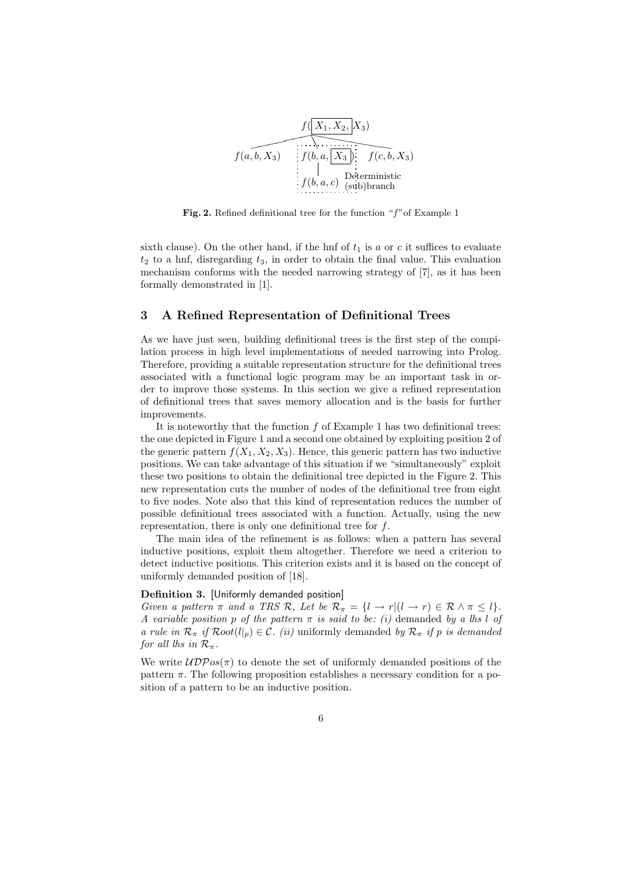

Fig. 2. Refined definitional tree for the function "f"of Example 1

sixth clause). On the other hand, if the hnf of  $t_1$  is a or c it suffices to evaluate  $t_2$  to a hnf, disregarding  $t_3$ , in order to obtain the final value. This evaluation mechanism conforms with the needed narrowing strategy of [7], as it has been formally demonstrated in [1].

### 3 A Refined Representation of Definitional Trees

As we have just seen, building definitional trees is the first step of the compilation process in high level implementations of needed narrowing into Prolog. Therefore, providing a suitable representation structure for the definitional trees associated with a functional logic program may be an important task in order to improve those systems. In this section we give a refined representation of definitional trees that saves memory allocation and is the basis for further improvements.

It is noteworthy that the function  $f$  of Example 1 has two definitional trees: the one depicted in Figure 1 and a second one obtained by exploiting position 2 of the generic pattern  $f(X_1, X_2, X_3)$ . Hence, this generic pattern has two inductive positions. We can take advantage of this situation if we "simultaneously" exploit these two positions to obtain the definitional tree depicted in the Figure 2. This new representation cuts the number of nodes of the definitional tree from eight to five nodes. Note also that this kind of representation reduces the number of possible definitional trees associated with a function. Actually, using the new representation, there is only one definitional tree for f.

The main idea of the refinement is as follows: when a pattern has several inductive positions, exploit them altogether. Therefore we need a criterion to detect inductive positions. This criterion exists and it is based on the concept of uniformly demanded position of [18].

#### Definition 3. [Uniformly demanded position]

Given a pattern  $\pi$  and a TRS R, Let be  $\mathcal{R}_{\pi} = \{l \to r | (l \to r) \in \mathcal{R} \land \pi \leq l\}.$ A variable position p of the pattern  $\pi$  is said to be: (i) demanded by a lhs l of a rule in  $\mathcal{R}_{\pi}$  if  $Root(l_{p}) \in \mathcal{C}$ . (ii) uniformly demanded by  $\mathcal{R}_{\pi}$  if p is demanded for all lhs in  $\mathcal{R}_{\pi}$ .

We write  $\mathcal{UDP}os(\pi)$  to denote the set of uniformly demanded positions of the pattern  $\pi$ . The following proposition establishes a necessary condition for a position of a pattern to be an inductive position.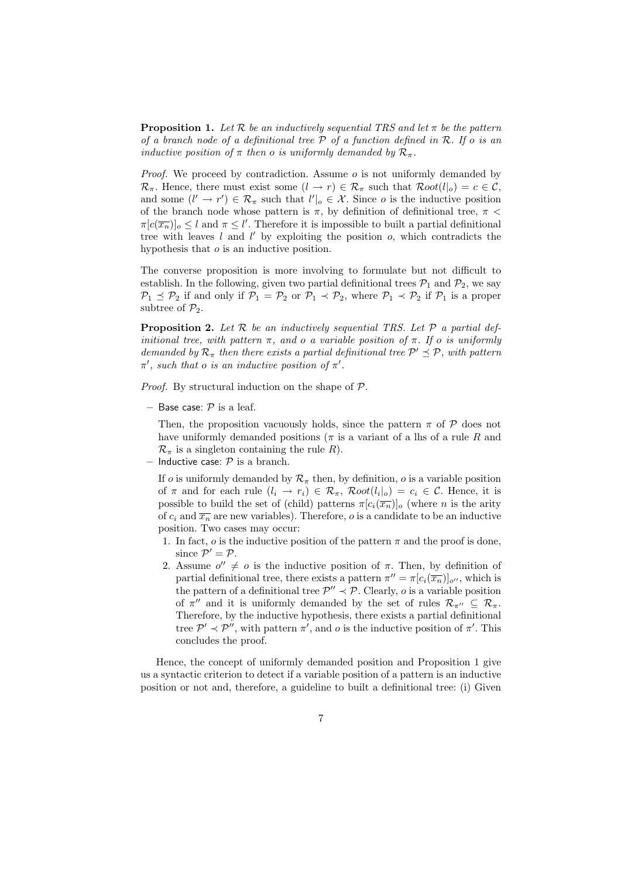**Proposition 1.** Let R be an inductively sequential TRS and let  $\pi$  be the pattern of a branch node of a definitional tree  $P$  of a function defined in  $R$ . If o is an inductive position of  $\pi$  then o is uniformly demanded by  $\mathcal{R}_{\pi}$ .

*Proof.* We proceed by contradiction. Assume  $o$  is not uniformly demanded by  $\mathcal{R}_{\pi}$ . Hence, there must exist some  $(l \to r) \in \mathcal{R}_{\pi}$  such that  $Root(l|_{o}) = c \in \mathcal{C}$ , and some  $(l' \to r') \in \mathcal{R}_{\pi}$  such that  $l' \mid o \in \mathcal{X}$ . Since o is the inductive position of the branch node whose pattern is  $\pi$ , by definition of definitional tree,  $\pi$  <  $\pi[c(\overline{x_n})]_o \leq l$  and  $\pi \leq l'$ . Therefore it is impossible to built a partial definitional tree with leaves  $l$  and  $l'$  by exploiting the position  $o$ , which contradicts the hypothesis that  $\sigma$  is an inductive position.

The converse proposition is more involving to formulate but not difficult to establish. In the following, given two partial definitional trees  $P_1$  and  $P_2$ , we say  $\mathcal{P}_1 \preceq \mathcal{P}_2$  if and only if  $\mathcal{P}_1 = \mathcal{P}_2$  or  $\mathcal{P}_1 \prec \mathcal{P}_2$ , where  $\mathcal{P}_1 \prec \mathcal{P}_2$  if  $\mathcal{P}_1$  is a proper subtree of  $\mathcal{P}_2$ .

**Proposition 2.** Let  $\mathcal{R}$  be an inductively sequential TRS. Let  $\mathcal{P}$  a partial definitional tree, with pattern  $\pi$ , and o a variable position of  $\pi$ . If o is uniformly demanded by  $\mathcal{R}_{\pi}$  then there exists a partial definitional tree  $\mathcal{P}' \preceq \mathcal{P}$ , with pattern  $\pi'$ , such that o is an inductive position of  $\pi'$ .

*Proof.* By structural induction on the shape of  $P$ .

– Base case:  $\mathcal P$  is a leaf.

Then, the proposition vacuously holds, since the pattern  $\pi$  of  $\mathcal P$  does not have uniformly demanded positions ( $\pi$  is a variant of a lhs of a rule R and  $\mathcal{R}_{\pi}$  is a singleton containing the rule R).

– Inductive case:  $P$  is a branch.

If o is uniformly demanded by  $\mathcal{R}_{\pi}$  then, by definition, o is a variable position of  $\pi$  and for each rule  $(l_i \rightarrow r_i) \in \mathcal{R}_{\pi}$ ,  $Root(l_i|_o) = c_i \in \mathcal{C}$ . Hence, it is possible to build the set of (child) patterns  $\pi[c_i(\overline{x}_n)]_o$  (where n is the arity of  $c_i$  and  $\overline{x_n}$  are new variables). Therefore, o is a candidate to be an inductive position. Two cases may occur:

- 1. In fact,  $\rho$  is the inductive position of the pattern  $\pi$  and the proof is done, since  $\mathcal{P}' = \mathcal{P}$ .
- 2. Assume  $o'' \neq o$  is the inductive position of  $\pi$ . Then, by definition of partial definitional tree, there exists a pattern  $\pi'' = \pi[c_i(\overline{x_n})]_{o''}$ , which is the pattern of a definitional tree  $\mathcal{P}'' \prec \mathcal{P}$ . Clearly, *o* is a variable position of  $\pi''$  and it is uniformly demanded by the set of rules  $\mathcal{R}_{\pi''} \subseteq \mathcal{R}_{\pi}$ . Therefore, by the inductive hypothesis, there exists a partial definitional tree  $\mathcal{P}' \prec \mathcal{P}''$ , with pattern  $\pi'$ , and o is the inductive position of  $\pi'$ . This concludes the proof.

Hence, the concept of uniformly demanded position and Proposition 1 give us a syntactic criterion to detect if a variable position of a pattern is an inductive position or not and, therefore, a guideline to built a definitional tree: (i) Given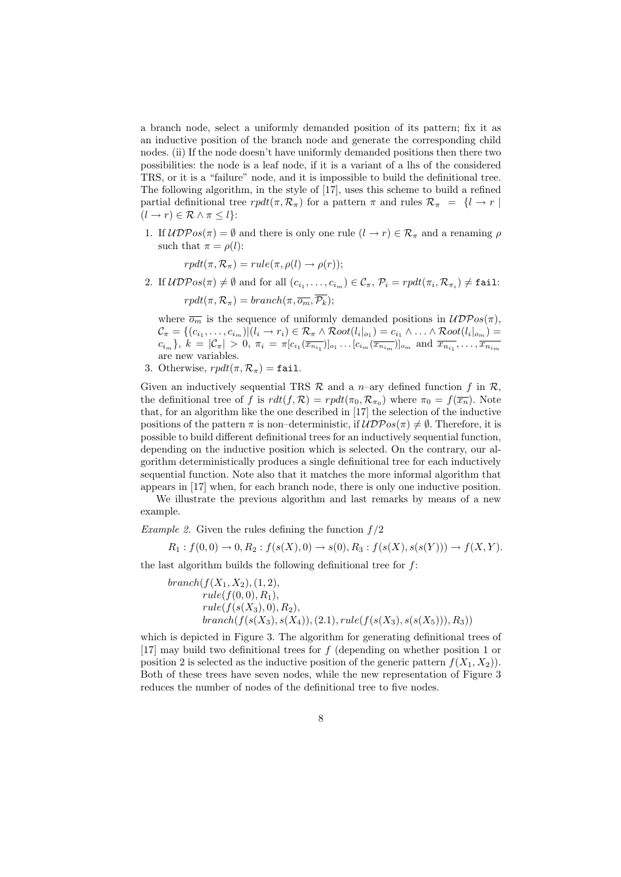a branch node, select a uniformly demanded position of its pattern; fix it as an inductive position of the branch node and generate the corresponding child nodes. (ii) If the node doesn't have uniformly demanded positions then there two possibilities: the node is a leaf node, if it is a variant of a lhs of the considered TRS, or it is a "failure" node, and it is impossible to build the definitional tree. The following algorithm, in the style of [17], uses this scheme to build a refined partial definitional tree  $rpdf(\pi, \mathcal{R}_{\pi})$  for a pattern  $\pi$  and rules  $\mathcal{R}_{\pi} = \{l \rightarrow r \mid$  $(l \to r) \in \mathcal{R} \wedge \pi \leq l$ :

1. If  $\mathcal{UDPos}(\pi) = \emptyset$  and there is only one rule  $(l \to r) \in \mathcal{R}_{\pi}$  and a renaming  $\rho$ such that  $\pi = \rho(l)$ :

 $rpdf(\pi, \mathcal{R}_{\pi}) = rule(\pi, \rho(l) \rightarrow \rho(r));$ 

2. If  $\mathcal{UDP}os(\pi) \neq \emptyset$  and for all  $(c_{i_1}, \ldots, c_{i_m}) \in \mathcal{C}_{\pi}, \mathcal{P}_i = rpdt(\pi_i, \mathcal{R}_{\pi_i}) \neq \texttt{fail}:$  $rpdf(\pi, \mathcal{R}_{\pi}) = branch(\pi, \overline{o_m}, \overline{\mathcal{P}_k});$ 

where  $\overline{o_m}$  is the sequence of uniformly demanded positions in  $\mathcal{UDPos}(\pi)$ ,  $\mathcal{C}_{\pi} = \{(c_{i_1}, \ldots, c_{i_m}) | (l_i \to r_i) \in \mathcal{R}_{\pi} \land Root(l_i|_{o_1}) = c_{i_1} \land \ldots \land Root(l_i|_{o_m}) =$  $c_{i_m}$ ,  $k = |\mathcal{C}_{\pi}| > 0$ ,  $\pi_i = \pi[c_{i_1}(\overline{x_{n_{i_1}}})]_{o_1} \dots [c_{i_m}(\overline{x_{n_{i_m}}})]_{o_m}$  and  $\overline{x_{n_{i_1}}}, \dots, \overline{x_{n_{i_m}}}$ are new variables.

3. Otherwise,  $rpdf(\pi, \mathcal{R}_{\pi}) = \texttt{fail}.$ 

Given an inductively sequential TRS  $\mathcal R$  and a *n*–ary defined function f in  $\mathcal R$ , the definitional tree of f is  $rdt(f, \mathcal{R}) = r\rho dt(\pi_0, \mathcal{R}_{\pi_0})$  where  $\pi_0 = f(\overline{x_n})$ . Note that, for an algorithm like the one described in [17] the selection of the inductive positions of the pattern  $\pi$  is non–deterministic, if  $\mathcal{UDP}os(\pi) \neq \emptyset$ . Therefore, it is possible to build different definitional trees for an inductively sequential function, depending on the inductive position which is selected. On the contrary, our algorithm deterministically produces a single definitional tree for each inductively sequential function. Note also that it matches the more informal algorithm that appears in [17] when, for each branch node, there is only one inductive position.

We illustrate the previous algorithm and last remarks by means of a new example.

*Example 2.* Given the rules defining the function  $f/2$ 

$$
R_1: f(0,0) \to 0, R_2: f(s(X),0) \to s(0), R_3: f(s(X), s(s(Y))) \to f(X,Y).
$$

the last algorithm builds the following definitional tree for  $f$ :

$$
branch(f(X_1, X_2), (1, 2),\nrule(f(0,0), R_1),\nrule(f(s(X_3), 0), R_2),\nbranch(f(s(X_3), s(X_4)), (2.1), rule(f(s(X_3), s(s(X_5))), R_3))
$$

which is depicted in Figure 3. The algorithm for generating definitional trees of [17] may build two definitional trees for f (depending on whether position 1 or position 2 is selected as the inductive position of the generic pattern  $f(X_1, X_2)$ . Both of these trees have seven nodes, while the new representation of Figure 3 reduces the number of nodes of the definitional tree to five nodes.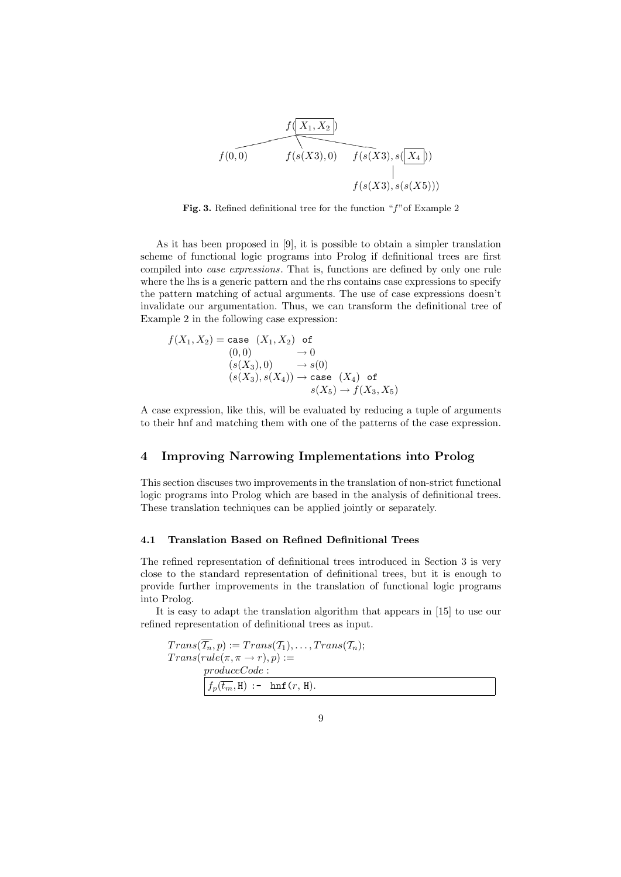

Fig. 3. Refined definitional tree for the function "f"of Example 2

As it has been proposed in [9], it is possible to obtain a simpler translation scheme of functional logic programs into Prolog if definitional trees are first compiled into case expressions. That is, functions are defined by only one rule where the lhs is a generic pattern and the rhs contains case expressions to specify the pattern matching of actual arguments. The use of case expressions doesn't invalidate our argumentation. Thus, we can transform the definitional tree of Example 2 in the following case expression:

$$
f(X_1, X_2) = \text{case} (X_1, X_2) \text{ of}
$$
  
\n
$$
(0, 0) \rightarrow 0
$$
  
\n
$$
(s(X_3), 0) \rightarrow s(0)
$$
  
\n
$$
(s(X_3), s(X_4)) \rightarrow \text{case} (X_4) \text{ of}
$$
  
\n
$$
s(X_5) \rightarrow f(X_3, X_5)
$$

A case expression, like this, will be evaluated by reducing a tuple of arguments to their hnf and matching them with one of the patterns of the case expression.

# 4 Improving Narrowing Implementations into Prolog

This section discuses two improvements in the translation of non-strict functional logic programs into Prolog which are based in the analysis of definitional trees. These translation techniques can be applied jointly or separately.

### 4.1 Translation Based on Refined Definitional Trees

The refined representation of definitional trees introduced in Section 3 is very close to the standard representation of definitional trees, but it is enough to provide further improvements in the translation of functional logic programs into Prolog.

It is easy to adapt the translation algorithm that appears in [15] to use our refined representation of definitional trees as input.

 $Trans(\overline{\mathcal{T}_n}, p) := Trans(\mathcal{T}_1), \ldots, Trans(\mathcal{T}_n);$  $Trans(rule(\pi, \pi \rightarrow r), p) :=$ produceCode :  $f_p(\overline{t_m},\texttt{H})$  :-  $\verb+lnf+(r,\texttt{H}).$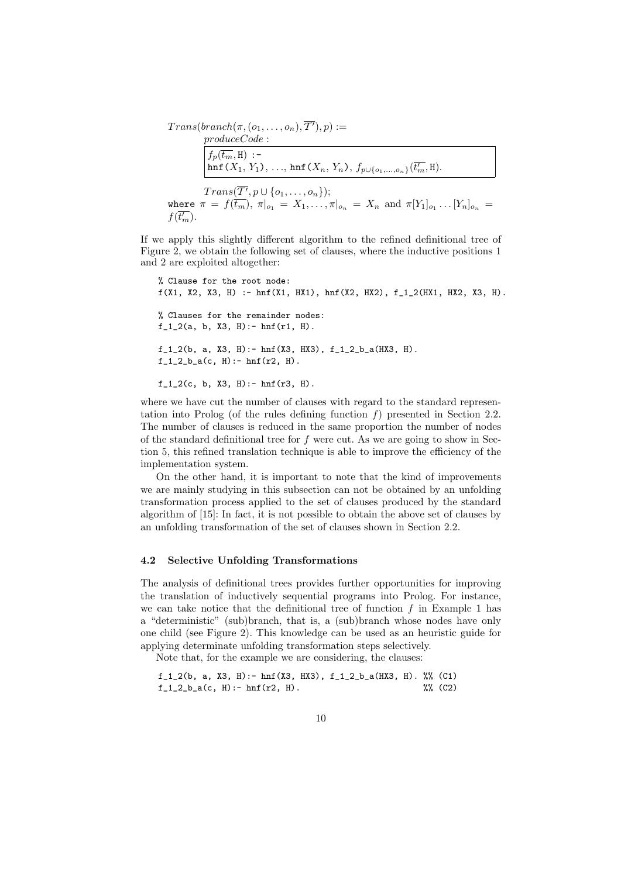$Trans(branch(\pi, (o_1, \ldots, o_n), \overline{T'}), p) :=$ produceCode :  $f_p(\overline{t_m}, \mathbf{H})$  :hnf (X<sub>1</sub>, Y<sub>1</sub>), ..., hnf (X<sub>n</sub>, Y<sub>n</sub>),  $f_{p\cup \{o_1,...,o_n\}}(\overline{t'_m},\texttt{H}).$  $Trans(\overline{\mathcal{T}'}, p \cup \{o_1, \ldots, o_n\});$ where  $\pi = f(\overline{t_m})$ ,  $\pi|_{o_1} = X_1, \ldots, \pi|_{o_n} = X_n$  and  $\pi[Y_1]_{o_1} \ldots [Y_n]_{o_n} =$  $f(\overline{t'_m}).$ 

If we apply this slightly different algorithm to the refined definitional tree of Figure 2, we obtain the following set of clauses, where the inductive positions 1 and 2 are exploited altogether:

```
% Clause for the root node:
f(X1, X2, X3, H) := \text{hnf}(X1, HX1), \text{hnf}(X2, HX2), f_1_2(HX1, HX2, X3, H).% Clauses for the remainder nodes:
f_1_2(a, b, X3, H): - hnf(r1, H).
f_1_2(b, a, X3, H):- hnf(X3, HX3), f_1_2_b_a(HX3, H).
f_1_2__b_2(c, H) := hnf(r2, H).
f_1_2(c, b, X3, H): - hnf(r3, H).
```
where we have cut the number of clauses with regard to the standard representation into Prolog (of the rules defining function  $f$ ) presented in Section 2.2. The number of clauses is reduced in the same proportion the number of nodes of the standard definitional tree for  $f$  were cut. As we are going to show in Section 5, this refined translation technique is able to improve the efficiency of the implementation system.

On the other hand, it is important to note that the kind of improvements we are mainly studying in this subsection can not be obtained by an unfolding transformation process applied to the set of clauses produced by the standard algorithm of [15]: In fact, it is not possible to obtain the above set of clauses by an unfolding transformation of the set of clauses shown in Section 2.2.

### 4.2 Selective Unfolding Transformations

The analysis of definitional trees provides further opportunities for improving the translation of inductively sequential programs into Prolog. For instance, we can take notice that the definitional tree of function  $f$  in Example 1 has a "deterministic" (sub)branch, that is, a (sub)branch whose nodes have only one child (see Figure 2). This knowledge can be used as an heuristic guide for applying determinate unfolding transformation steps selectively.

Note that, for the example we are considering, the clauses:

```
f_1_2(b, a, X3, H):- hnf(X3, HX3), f_1_2_b_a(HX3, H). \% (C1)
f_1_2_b_a(c, H) := hnf(r2, H). %% (C2)
```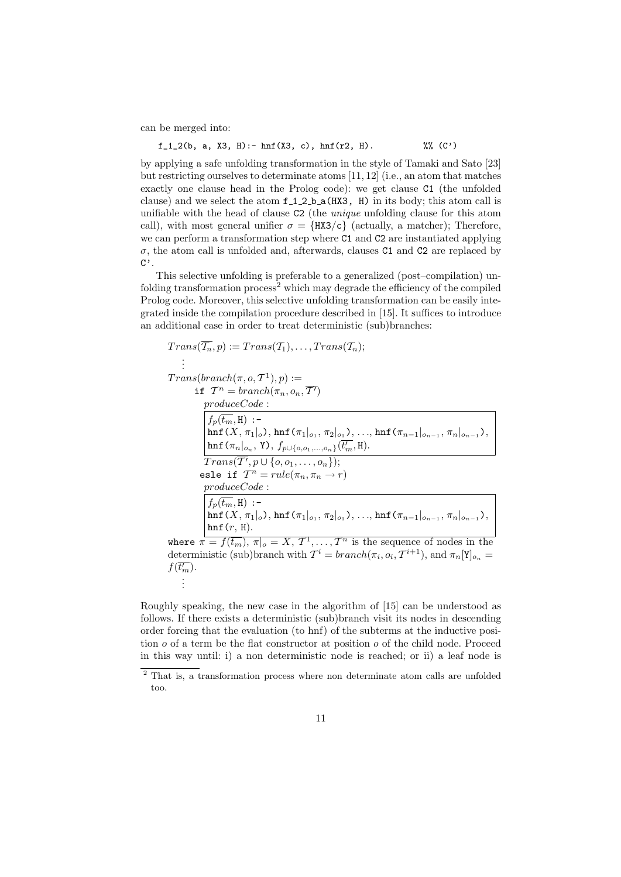can be merged into:

f\_1\_2(b, a, X3, H): - 
$$
hnf(X3, c)
$$
,  $hnf(r2, H)$ .  $\mathcal{W}(C')$ 

by applying a safe unfolding transformation in the style of Tamaki and Sato [23] but restricting ourselves to determinate atoms [11, 12] (i.e., an atom that matches exactly one clause head in the Prolog code): we get clause C1 (the unfolded clause) and we select the atom  $f_1_2_b = (HX3, H)$  in its body; this atom call is unifiable with the head of clause C2 (the *unique* unfolding clause for this atom call), with most general unifier  $\sigma = {\text{HX3/c}}$  (actually, a matcher); Therefore, we can perform a transformation step where C1 and C2 are instantiated applying  $\sigma$ , the atom call is unfolded and, afterwards, clauses C1 and C2 are replaced by  $C$ ,

This selective unfolding is preferable to a generalized (post–compilation) unfolding transformation process<sup>2</sup> which may degrade the efficiency of the compiled Prolog code. Moreover, this selective unfolding transformation can be easily integrated inside the compilation procedure described in [15]. It suffices to introduce an additional case in order to treat deterministic (sub)branches:

$$
Trans(\overline{T_n}, p) := Trans(T_1), ..., Trans(T_n);
$$
\n
$$
\vdots
$$
\n
$$
Trans(branch(\pi, o, \mathcal{T}^1), p) :=
$$
\n
$$
\text{if } \mathcal{T}^n = branch(\pi_n, o_n, \overline{\mathcal{T}'})
$$
\n
$$
produceCode :
$$
\n
$$
\begin{aligned}\nf_p(\overline{t_m}, \mathbf{H}) :=\\ \nf_p(\overline{t_m}, \mathbf{H}) :=\\ \nh\text{inf}(X, \pi_1|_o), \nh\text{inf}(\pi_1|_{o_1}, \pi_2|_{o_1}), ..., \nh\text{inf}(\pi_{n-1}|_{o_{n-1}}, \pi_n|_{o_{n-1}}),\\ \nh\text{inf}(\pi_n|_{o_n}, Y), f_{p \cup \{o, o_1, ..., o_n\}}(\overline{t'_m}, \mathbf{H}).\\ \nTrans(\overline{T'}, p \cup \{o, o_1, ..., o_n\});\\ \nelse if \quad \overline{T^n} = rule(\pi_n, \pi_n \to r)\\ \nproduceCode :\\ \nf_p(\overline{t_m}, \mathbf{H}) :=\\ \nh\text{inf}(X, \pi_1|_o), \nh\text{inf}(\pi_1|_{o_1}, \pi_2|_{o_1}), ..., \nh\text{inf}(\pi_{n-1}|_{o_{n-1}}, \pi_n|_{o_{n-1}}),\\ \nh\text{inf}(r, \mathbf{H}).\\ \nwhere \quad \pi = f(\overline{t_m}), \pi|_o = X, \mathcal{T}^1, ..., \mathcal{T}^n \text{ is the sequence of nodes in the deterministic (sub)branch with } \mathcal{T}^i = branch(\pi_i, o_i, \mathcal{T}^{i+1}), \text{ and } \pi_n[Y]_{o_n} =\\ \nf(\overline{t'_m}).\\ \n\vdots\n\end{aligned}
$$

Roughly speaking, the new case in the algorithm of [15] can be understood as follows. If there exists a deterministic (sub)branch visit its nodes in descending order forcing that the evaluation (to hnf) of the subterms at the inductive position  $o$  of a term be the flat constructor at position  $o$  of the child node. Proceed in this way until: i) a non deterministic node is reached; or ii) a leaf node is

<sup>2</sup> That is, a transformation process where non determinate atom calls are unfolded too.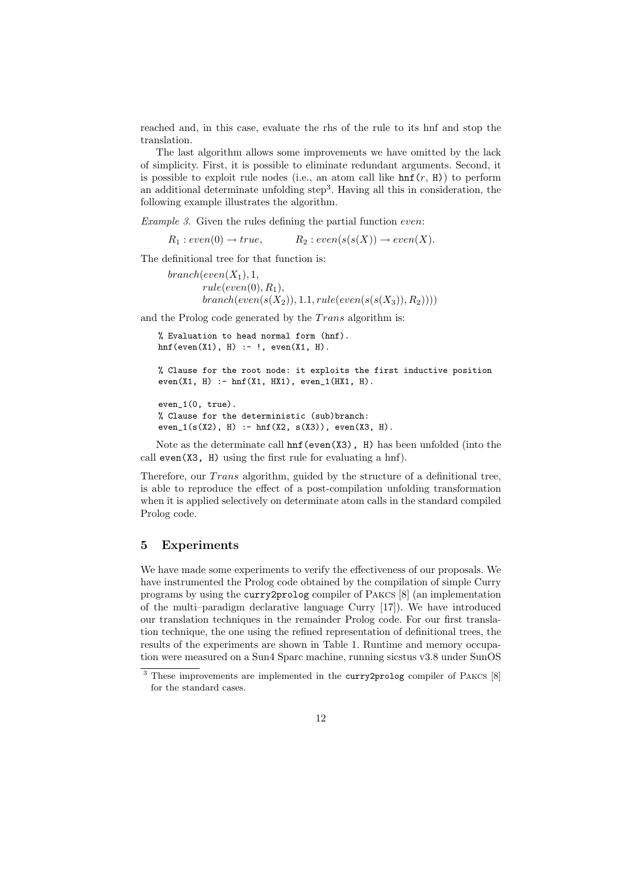reached and, in this case, evaluate the rhs of the rule to its hnf and stop the translation.

The last algorithm allows some improvements we have omitted by the lack of simplicity. First, it is possible to eliminate redundant arguments. Second, it is possible to exploit rule nodes (i.e., an atom call like  $\text{hnf}(r, H)$ ) to perform an additional determinate unfolding step<sup>3</sup>. Having all this in consideration, the following example illustrates the algorithm.

Example 3. Given the rules defining the partial function even:

 $R_1: even(0) \rightarrow true, \hspace{1cm} R_2: even(s(s(X)) \rightarrow even(X).$ 

The definitional tree for that function is:

 $branch(even(X_1), 1, ...)$  $rule(even(0), R<sub>1</sub>),$  $branch(even(s(X<sub>2</sub>)), 1.1, rule(even(s(s(X<sub>3</sub>)), R<sub>2</sub>))))$ 

and the Prolog code generated by the  $Trans$  algorithm is:

```
% Evaluation to head normal form (hnf).
hnf(even(X1), H) :- !, even(X1, H).
```

```
% Clause for the root node: it exploits the first inductive position
even(X1, H) :- hnf(X1, HX1), even_1(HX1, H).
```

```
even_1(0, true).
% Clause for the deterministic (sub)branch:
even_1(s(X2), H) :- hnf(X2, s(X3)), even(X3, H).
```
Note as the determinate call hnf(even(X3), H) has been unfolded (into the call even(X3, H) using the first rule for evaluating a hnf).

Therefore, our *Trans* algorithm, guided by the structure of a definitional tree, is able to reproduce the effect of a post-compilation unfolding transformation when it is applied selectively on determinate atom calls in the standard compiled Prolog code.

## 5 Experiments

We have made some experiments to verify the effectiveness of our proposals. We have instrumented the Prolog code obtained by the compilation of simple Curry programs by using the curry2prolog compiler of Pakcs [8] (an implementation of the multi–paradigm declarative language Curry [17]). We have introduced our translation techniques in the remainder Prolog code. For our first translation technique, the one using the refined representation of definitional trees, the results of the experiments are shown in Table 1. Runtime and memory occupation were measured on a Sun4 Sparc machine, running sicstus v3.8 under SunOS

<sup>&</sup>lt;sup>3</sup> These improvements are implemented in the curry2prolog compiler of PAKCS [8] for the standard cases.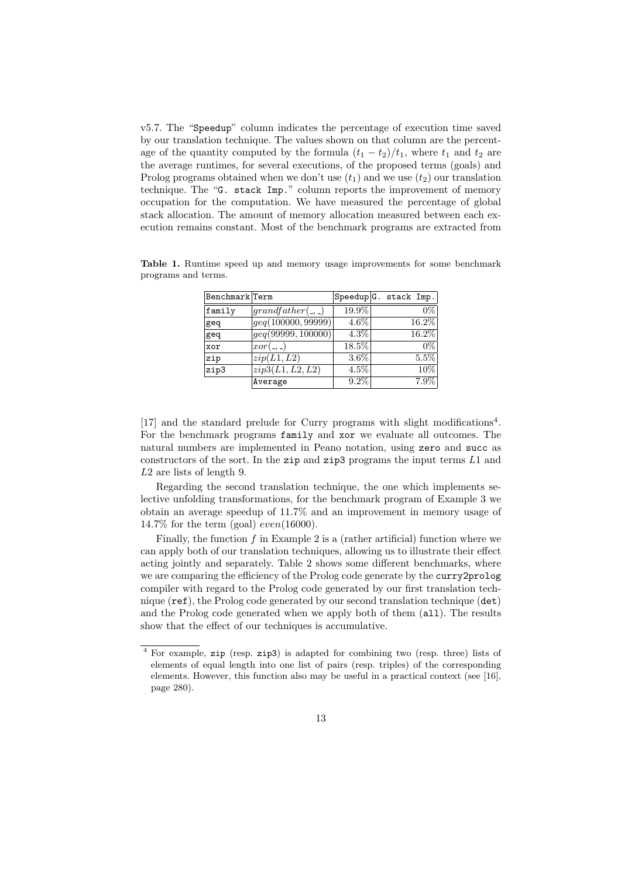v5.7. The "Speedup" column indicates the percentage of execution time saved by our translation technique. The values shown on that column are the percentage of the quantity computed by the formula  $(t_1 - t_2)/t_1$ , where  $t_1$  and  $t_2$  are the average runtimes, for several executions, of the proposed terms (goals) and Prolog programs obtained when we don't use  $(t_1)$  and we use  $(t_2)$  our translation technique. The "G. stack Imp." column reports the improvement of memory occupation for the computation. We have measured the percentage of global stack allocation. The amount of memory allocation measured between each execution remains constant. Most of the benchmark programs are extracted from

Table 1. Runtime speed up and memory usage improvements for some benchmark programs and terms.

| Benchmark Term |                                |         | Speedup G. stack Imp. |       |
|----------------|--------------------------------|---------|-----------------------|-------|
| family         | grandfather(., .)              | 19.9%   |                       | $0\%$ |
| geq            | geq(100000, 99999)             | $4.6\%$ | 16.2%                 |       |
| geq            | $\overline{geq(99999,100000)}$ | 4.3%    | 16.2%                 |       |
| xor            | $ xor(\_ , \_ )$               | 18.5%   |                       | $0\%$ |
| zip            | $\overline{zip}(L1, L2)$       | $3.6\%$ | 5.5%                  |       |
| zip3           | zip3(L1, L2, L2)               | 4.5%    |                       | 10%   |
|                | Average                        | $9.2\%$ | $7.9\%$               |       |

[17] and the standard prelude for Curry programs with slight modifications<sup>4</sup>. For the benchmark programs family and xor we evaluate all outcomes. The natural numbers are implemented in Peano notation, using zero and succ as constructors of the sort. In the zip and zip3 programs the input terms  $L1$  and L2 are lists of length 9.

Regarding the second translation technique, the one which implements selective unfolding transformations, for the benchmark program of Example 3 we obtain an average speedup of 11.7% and an improvement in memory usage of 14.7% for the term (goal)  $even(16000)$ .

Finally, the function  $f$  in Example 2 is a (rather artificial) function where we can apply both of our translation techniques, allowing us to illustrate their effect acting jointly and separately. Table 2 shows some different benchmarks, where we are comparing the efficiency of the Prolog code generate by the curry2prolog compiler with regard to the Prolog code generated by our first translation technique  $(ref)$ , the Prolog code generated by our second translation technique  $(det)$ and the Prolog code generated when we apply both of them (all). The results show that the effect of our techniques is accumulative.

<sup>4</sup> For example, zip (resp. zip3) is adapted for combining two (resp. three) lists of elements of equal length into one list of pairs (resp. triples) of the corresponding elements. However, this function also may be useful in a practical context (see [16], page 280).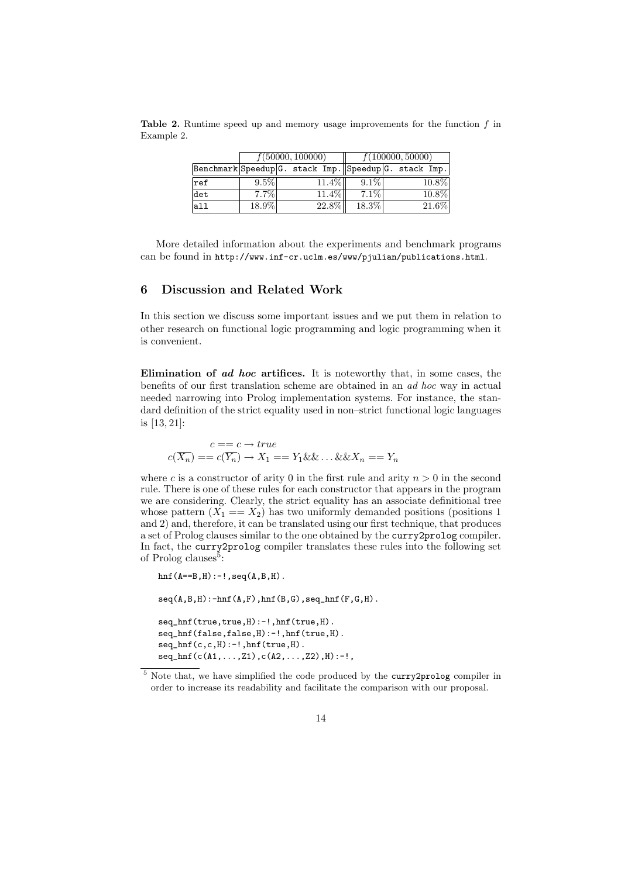|                                                       | f(50000, 100000) |  |  | f(100000, 50000) |         |  |  |       |
|-------------------------------------------------------|------------------|--|--|------------------|---------|--|--|-------|
| Benchmark Speedup G. stack Imp. Speedup G. stack Imp. |                  |  |  |                  |         |  |  |       |
| $ _{\mathrm{ref}}$                                    | $9.5\%$          |  |  | $11.4\%$         | $9.1\%$ |  |  | 10.8% |
| det                                                   | $7.7\%$          |  |  | $11.4\%$         | $7.1\%$ |  |  | 10.8% |
| a11                                                   | 18.9%            |  |  | $22.8\%$         | 18.3%   |  |  | 21.6% |

**Table 2.** Runtime speed up and memory usage improvements for the function  $f$  in Example 2.

More detailed information about the experiments and benchmark programs can be found in http://www.inf-cr.uclm.es/www/pjulian/publications.html.

# 6 Discussion and Related Work

In this section we discuss some important issues and we put them in relation to other research on functional logic programming and logic programming when it is convenient.

Elimination of ad hoc artifices. It is noteworthy that, in some cases, the benefits of our first translation scheme are obtained in an ad hoc way in actual needed narrowing into Prolog implementation systems. For instance, the standard definition of the strict equality used in non–strict functional logic languages is [13, 21]:

$$
c == c \rightarrow true
$$
  

$$
c(\overline{X_n}) == c(\overline{Y_n}) \rightarrow X_1 == Y_1 \& \& \dots \& \& X_n == Y_n
$$

where c is a constructor of arity 0 in the first rule and arity  $n > 0$  in the second rule. There is one of these rules for each constructor that appears in the program we are considering. Clearly, the strict equality has an associate definitional tree whose pattern  $(X_1 = X_2)$  has two uniformly demanded positions (positions 1) and 2) and, therefore, it can be translated using our first technique, that produces a set of Prolog clauses similar to the one obtained by the curry2prolog compiler. In fact, the curry2prolog compiler translates these rules into the following set of Prolog clauses<sup>5</sup>:

```
hnf(A==B,H):-!,seq(A,B,H).
seq(A, B, H):-hnf(A, F),hnf(B, G),seq_hnf(F, G, H).
seq_hnf(true,true,H):-!,hnf(true,H).
seq_hnf(false,false,H):-!,hnf(true,H).
seq\_hnf(c,c,H):-!, hnf(true,H).
seq\_hnf(c(A1,...,Z1),c(A2,...,Z2),H) :- !,
```
<sup>5</sup> Note that, we have simplified the code produced by the curry2prolog compiler in order to increase its readability and facilitate the comparison with our proposal.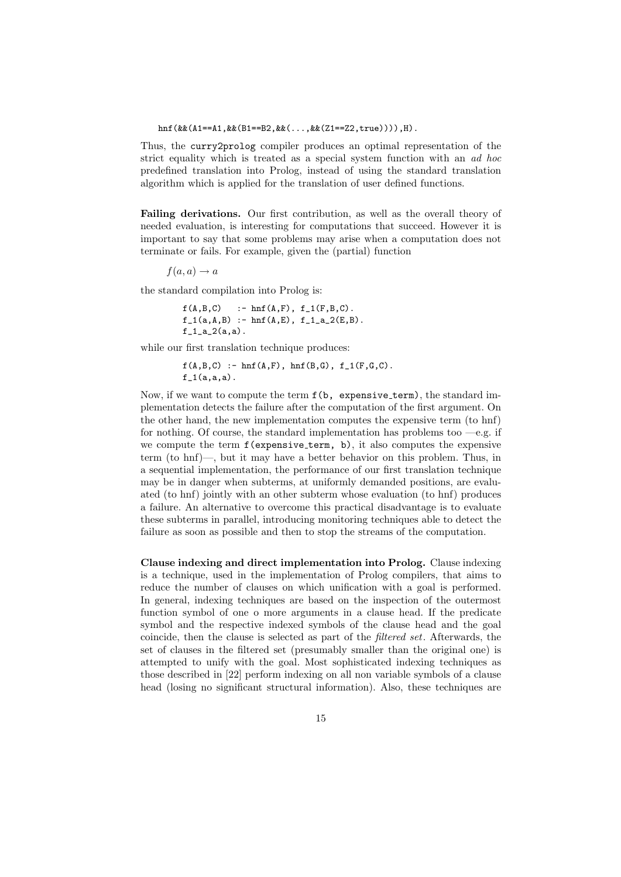#### hnf(&&(A1==A1,&&(B1==B2,&&(...,&&(Z1==Z2,true)))),H).

Thus, the curry2prolog compiler produces an optimal representation of the strict equality which is treated as a special system function with an ad hoc predefined translation into Prolog, instead of using the standard translation algorithm which is applied for the translation of user defined functions.

Failing derivations. Our first contribution, as well as the overall theory of needed evaluation, is interesting for computations that succeed. However it is important to say that some problems may arise when a computation does not terminate or fails. For example, given the (partial) function

 $f(a, a) \rightarrow a$ 

the standard compilation into Prolog is:

```
f(A,B,C) :- hnf(A,F), f_1(F,B,C).
f_1(a,A,B) :- hnf(A,E), f_1_a_2(E,B).
f_1_a_2(a,a).
```
while our first translation technique produces:

 $f(A,B,C)$  :- hnf(A,F), hnf(B,G),  $f_1(F,G,C)$ .  $f_1(a,a,a)$ .

Now, if we want to compute the term  $f(b, \text{ expensive\_term})$ , the standard implementation detects the failure after the computation of the first argument. On the other hand, the new implementation computes the expensive term (to hnf) for nothing. Of course, the standard implementation has problems too  $-e.g.$  if we compute the term f(expensive term, b), it also computes the expensive term (to hnf)—, but it may have a better behavior on this problem. Thus, in a sequential implementation, the performance of our first translation technique may be in danger when subterms, at uniformly demanded positions, are evaluated (to hnf) jointly with an other subterm whose evaluation (to hnf) produces a failure. An alternative to overcome this practical disadvantage is to evaluate these subterms in parallel, introducing monitoring techniques able to detect the failure as soon as possible and then to stop the streams of the computation.

Clause indexing and direct implementation into Prolog. Clause indexing is a technique, used in the implementation of Prolog compilers, that aims to reduce the number of clauses on which unification with a goal is performed. In general, indexing techniques are based on the inspection of the outermost function symbol of one o more arguments in a clause head. If the predicate symbol and the respective indexed symbols of the clause head and the goal coincide, then the clause is selected as part of the filtered set. Afterwards, the set of clauses in the filtered set (presumably smaller than the original one) is attempted to unify with the goal. Most sophisticated indexing techniques as those described in [22] perform indexing on all non variable symbols of a clause head (losing no significant structural information). Also, these techniques are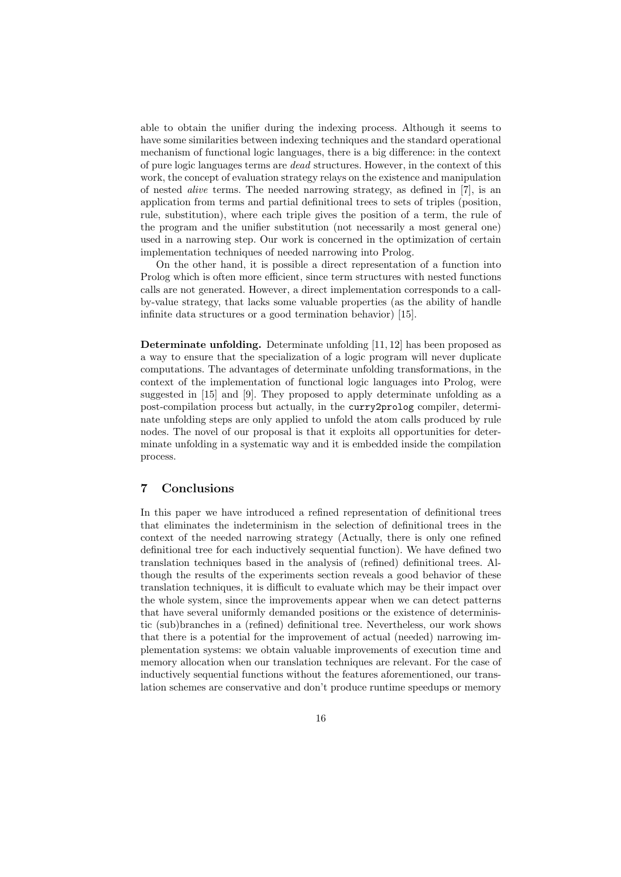able to obtain the unifier during the indexing process. Although it seems to have some similarities between indexing techniques and the standard operational mechanism of functional logic languages, there is a big difference: in the context of pure logic languages terms are dead structures. However, in the context of this work, the concept of evaluation strategy relays on the existence and manipulation of nested alive terms. The needed narrowing strategy, as defined in [7], is an application from terms and partial definitional trees to sets of triples (position, rule, substitution), where each triple gives the position of a term, the rule of the program and the unifier substitution (not necessarily a most general one) used in a narrowing step. Our work is concerned in the optimization of certain implementation techniques of needed narrowing into Prolog.

On the other hand, it is possible a direct representation of a function into Prolog which is often more efficient, since term structures with nested functions calls are not generated. However, a direct implementation corresponds to a callby-value strategy, that lacks some valuable properties (as the ability of handle infinite data structures or a good termination behavior) [15].

Determinate unfolding. Determinate unfolding [11, 12] has been proposed as a way to ensure that the specialization of a logic program will never duplicate computations. The advantages of determinate unfolding transformations, in the context of the implementation of functional logic languages into Prolog, were suggested in [15] and [9]. They proposed to apply determinate unfolding as a post-compilation process but actually, in the curry2prolog compiler, determinate unfolding steps are only applied to unfold the atom calls produced by rule nodes. The novel of our proposal is that it exploits all opportunities for determinate unfolding in a systematic way and it is embedded inside the compilation process.

### 7 Conclusions

In this paper we have introduced a refined representation of definitional trees that eliminates the indeterminism in the selection of definitional trees in the context of the needed narrowing strategy (Actually, there is only one refined definitional tree for each inductively sequential function). We have defined two translation techniques based in the analysis of (refined) definitional trees. Although the results of the experiments section reveals a good behavior of these translation techniques, it is difficult to evaluate which may be their impact over the whole system, since the improvements appear when we can detect patterns that have several uniformly demanded positions or the existence of deterministic (sub)branches in a (refined) definitional tree. Nevertheless, our work shows that there is a potential for the improvement of actual (needed) narrowing implementation systems: we obtain valuable improvements of execution time and memory allocation when our translation techniques are relevant. For the case of inductively sequential functions without the features aforementioned, our translation schemes are conservative and don't produce runtime speedups or memory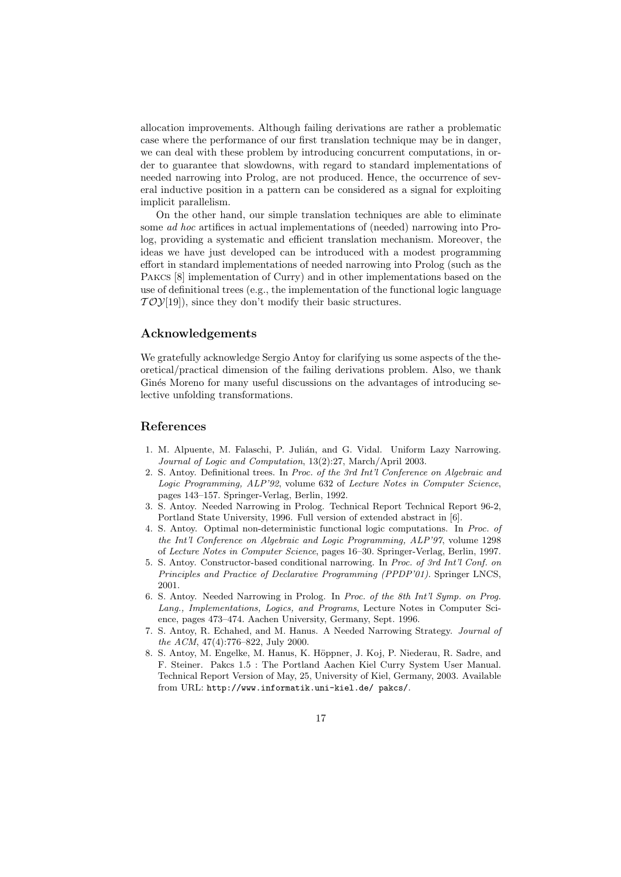allocation improvements. Although failing derivations are rather a problematic case where the performance of our first translation technique may be in danger, we can deal with these problem by introducing concurrent computations, in order to guarantee that slowdowns, with regard to standard implementations of needed narrowing into Prolog, are not produced. Hence, the occurrence of several inductive position in a pattern can be considered as a signal for exploiting implicit parallelism.

On the other hand, our simple translation techniques are able to eliminate some ad hoc artifices in actual implementations of (needed) narrowing into Prolog, providing a systematic and efficient translation mechanism. Moreover, the ideas we have just developed can be introduced with a modest programming effort in standard implementations of needed narrowing into Prolog (such as the Pakcs [8] implementation of Curry) and in other implementations based on the use of definitional trees (e.g., the implementation of the functional logic language  $TOY[19]$ , since they don't modify their basic structures.

### Acknowledgements

We gratefully acknowledge Sergio Antoy for clarifying us some aspects of the theoretical/practical dimension of the failing derivations problem. Also, we thank Ginés Moreno for many useful discussions on the advantages of introducing selective unfolding transformations.

### References

- 1. M. Alpuente, M. Falaschi, P. Julián, and G. Vidal. Uniform Lazy Narrowing. Journal of Logic and Computation, 13(2):27, March/April 2003.
- 2. S. Antoy. Definitional trees. In Proc. of the 3rd Int'l Conference on Algebraic and Logic Programming, ALP'92, volume 632 of Lecture Notes in Computer Science, pages 143–157. Springer-Verlag, Berlin, 1992.
- 3. S. Antoy. Needed Narrowing in Prolog. Technical Report Technical Report 96-2, Portland State University, 1996. Full version of extended abstract in [6].
- 4. S. Antoy. Optimal non-deterministic functional logic computations. In Proc. of the Int'l Conference on Algebraic and Logic Programming, ALP'97, volume 1298 of Lecture Notes in Computer Science, pages 16–30. Springer-Verlag, Berlin, 1997.
- 5. S. Antoy. Constructor-based conditional narrowing. In Proc. of 3rd Int'l Conf. on Principles and Practice of Declarative Programming (PPDP'01). Springer LNCS, 2001.
- 6. S. Antoy. Needed Narrowing in Prolog. In Proc. of the 8th Int'l Symp. on Prog. Lang., Implementations, Logics, and Programs, Lecture Notes in Computer Science, pages 473–474. Aachen University, Germany, Sept. 1996.
- 7. S. Antoy, R. Echahed, and M. Hanus. A Needed Narrowing Strategy. Journal of the ACM, 47(4):776–822, July 2000.
- 8. S. Antoy, M. Engelke, M. Hanus, K. Höppner, J. Koj, P. Niederau, R. Sadre, and F. Steiner. Pakcs 1.5 : The Portland Aachen Kiel Curry System User Manual. Technical Report Version of May, 25, University of Kiel, Germany, 2003. Available from URL: http://www.informatik.uni-kiel.de/ pakcs/.